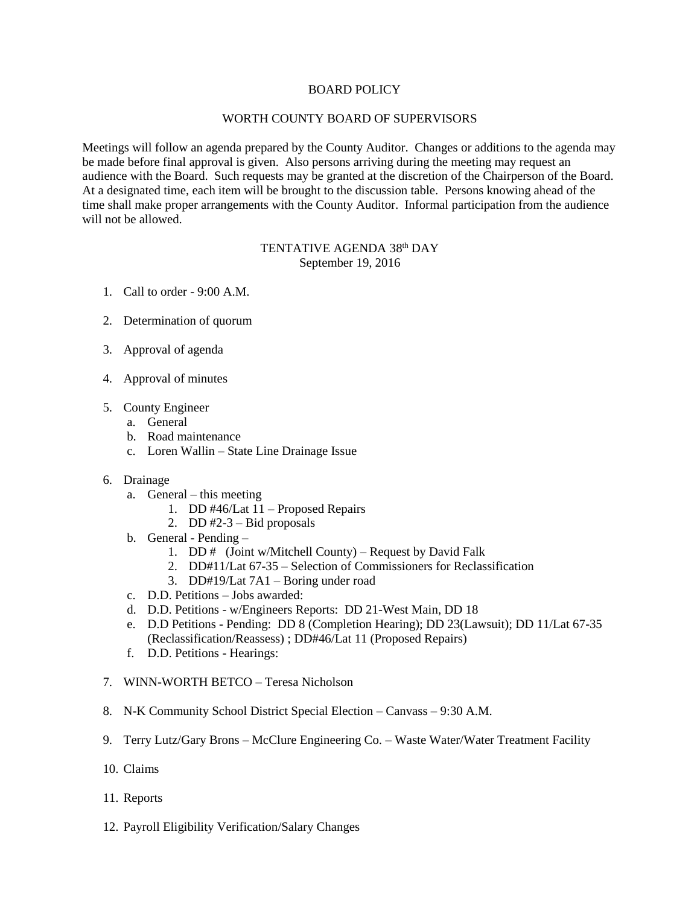## BOARD POLICY

## WORTH COUNTY BOARD OF SUPERVISORS

Meetings will follow an agenda prepared by the County Auditor. Changes or additions to the agenda may be made before final approval is given. Also persons arriving during the meeting may request an audience with the Board. Such requests may be granted at the discretion of the Chairperson of the Board. At a designated time, each item will be brought to the discussion table. Persons knowing ahead of the time shall make proper arrangements with the County Auditor. Informal participation from the audience will not be allowed.

## TENTATIVE AGENDA 38<sup>th</sup> DAY September 19, 2016

- 1. Call to order 9:00 A.M.
- 2. Determination of quorum
- 3. Approval of agenda
- 4. Approval of minutes
- 5. County Engineer
	- a. General
	- b. Road maintenance
	- c. Loren Wallin State Line Drainage Issue
- 6. Drainage
	- a. General this meeting
		- 1. DD #46/Lat 11 Proposed Repairs
		- 2. DD  $#2-3$  Bid proposals
	- b. General Pending
		- 1. DD # (Joint w/Mitchell County) Request by David Falk
		- 2. DD#11/Lat 67-35 Selection of Commissioners for Reclassification
		- 3. DD#19/Lat 7A1 Boring under road
	- c. D.D. Petitions Jobs awarded:
	- d. D.D. Petitions w/Engineers Reports: DD 21-West Main, DD 18
	- e. D.D Petitions Pending: DD 8 (Completion Hearing); DD 23(Lawsuit); DD 11/Lat 67-35 (Reclassification/Reassess) ; DD#46/Lat 11 (Proposed Repairs)
	- f. D.D. Petitions Hearings:
- 7. WINN-WORTH BETCO Teresa Nicholson
- 8. N-K Community School District Special Election Canvass 9:30 A.M.
- 9. Terry Lutz/Gary Brons McClure Engineering Co. Waste Water/Water Treatment Facility
- 10. Claims
- 11. Reports
- 12. Payroll Eligibility Verification/Salary Changes